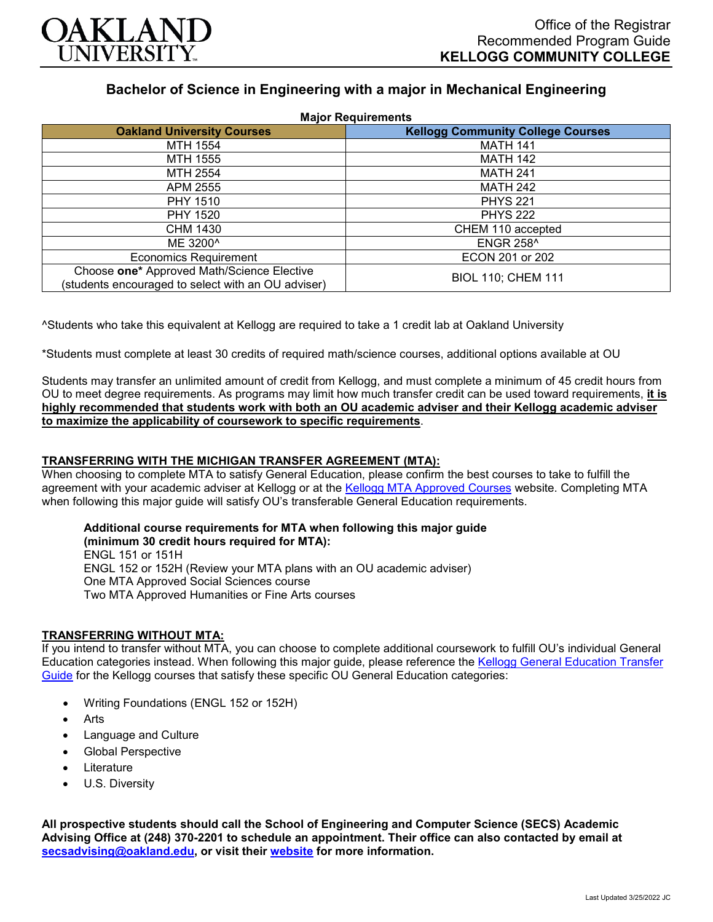

# **Bachelor of Science in Engineering with a major in Mechanical Engineering**

| <b>Major Requirements</b>                                                                        |                                          |
|--------------------------------------------------------------------------------------------------|------------------------------------------|
| <b>Oakland University Courses</b>                                                                | <b>Kellogg Community College Courses</b> |
| MTH 1554                                                                                         | <b>MATH 141</b>                          |
| MTH 1555                                                                                         | <b>MATH 142</b>                          |
| MTH 2554                                                                                         | <b>MATH 241</b>                          |
| APM 2555                                                                                         | <b>MATH 242</b>                          |
| <b>PHY 1510</b>                                                                                  | <b>PHYS 221</b>                          |
| <b>PHY 1520</b>                                                                                  | <b>PHYS 222</b>                          |
| CHM 1430                                                                                         | CHEM 110 accepted                        |
| ME 3200^                                                                                         | <b>ENGR 258^</b>                         |
| <b>Economics Requirement</b>                                                                     | ECON 201 or 202                          |
| Choose one* Approved Math/Science Elective<br>(students encouraged to select with an OU adviser) | <b>BIOL 110; CHEM 111</b>                |

^Students who take this equivalent at Kellogg are required to take a 1 credit lab at Oakland University

\*Students must complete at least 30 credits of required math/science courses, additional options available at OU

Students may transfer an unlimited amount of credit from Kellogg, and must complete a minimum of 45 credit hours from OU to meet degree requirements. As programs may limit how much transfer credit can be used toward requirements, **it is highly recommended that students work with both an OU academic adviser and their Kellogg academic adviser to maximize the applicability of coursework to specific requirements**.

## **TRANSFERRING WITH THE MICHIGAN TRANSFER AGREEMENT (MTA):**

When choosing to complete MTA to satisfy General Education, please confirm the best courses to take to fulfill the agreement with your academic adviser at Kellogg or at the [Kellogg MTA Approved Courses](http://catalog.kellogg.edu/content.php?catoid=18&navoid=790#michigan-transfer-agreement) website. Completing MTA when following this major guide will satisfy OU's transferable General Education requirements.

# **Additional course requirements for MTA when following this major guide**

**(minimum 30 credit hours required for MTA):** ENGL 151 or 151H ENGL 152 or 152H (Review your MTA plans with an OU academic adviser) One MTA Approved Social Sciences course Two MTA Approved Humanities or Fine Arts courses

#### **TRANSFERRING WITHOUT MTA:**

If you intend to transfer without MTA, you can choose to complete additional coursework to fulfill OU's individual General Education categories instead. When following this major guide, please reference the [Kellogg General Education Transfer](https://www.oakland.edu/Assets/Oakland/program-guides/kellogg-community-college/university-general-education-requirements/Kellogg%20Gen%20Ed.pdf)  [Guide](https://www.oakland.edu/Assets/Oakland/program-guides/kellogg-community-college/university-general-education-requirements/Kellogg%20Gen%20Ed.pdf) for the Kellogg courses that satisfy these specific OU General Education categories:

- Writing Foundations (ENGL 152 or 152H)
- **Arts**
- Language and Culture
- Global Perspective
- **Literature**
- U.S. Diversity

**All prospective students should call the School of Engineering and Computer Science (SECS) Academic Advising Office at (248) 370-2201 to schedule an appointment. Their office can also contacted by email at [secsadvising@oakland.edu,](mailto:secsadvising@oakland.edu) or visit their [website](https://wwwp.oakland.edu/secs/advising/) for more information.**